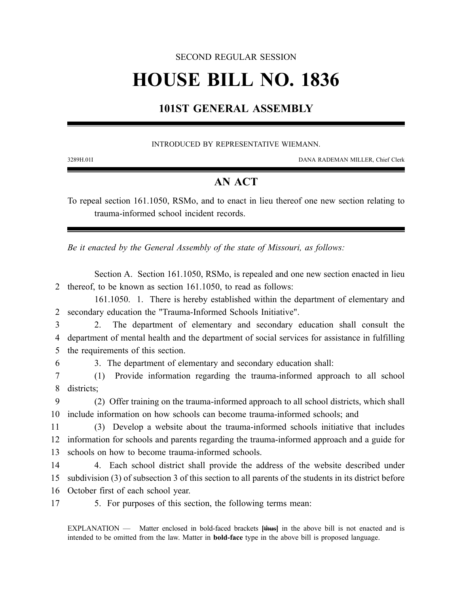#### SECOND REGULAR SESSION

# **HOUSE BILL NO. 1836**

## **101ST GENERAL ASSEMBLY**

#### INTRODUCED BY REPRESENTATIVE WIEMANN.

3289H.01I DANA RADEMAN MILLER, Chief Clerk

### **AN ACT**

To repeal section 161.1050, RSMo, and to enact in lieu thereof one new section relating to trauma-informed school incident records.

*Be it enacted by the General Assembly of the state of Missouri, as follows:*

Section A. Section 161.1050, RSMo, is repealed and one new section enacted in lieu 2 thereof, to be known as section 161.1050, to read as follows:

161.1050. 1. There is hereby established within the department of elementary and 2 secondary education the "Trauma-Informed Schools Initiative".

3 2. The department of elementary and secondary education shall consult the 4 department of mental health and the department of social services for assistance in fulfilling 5 the requirements of this section.

6 3. The department of elementary and secondary education shall:

7 (1) Provide information regarding the trauma-informed approach to all school 8 districts;

9 (2) Offer training on the trauma-informed approach to all school districts, which shall 10 include information on how schools can become trauma-informed schools; and

11 (3) Develop a website about the trauma-informed schools initiative that includes 12 information for schools and parents regarding the trauma-informed approach and a guide for 13 schools on how to become trauma-informed schools.

14 4. Each school district shall provide the address of the website described under 15 subdivision (3) of subsection 3 of this section to all parents of the students in its district before 16 October first of each school year.

17 5. For purposes of this section, the following terms mean:

EXPLANATION — Matter enclosed in bold-faced brackets **[**thus**]** in the above bill is not enacted and is intended to be omitted from the law. Matter in **bold-face** type in the above bill is proposed language.